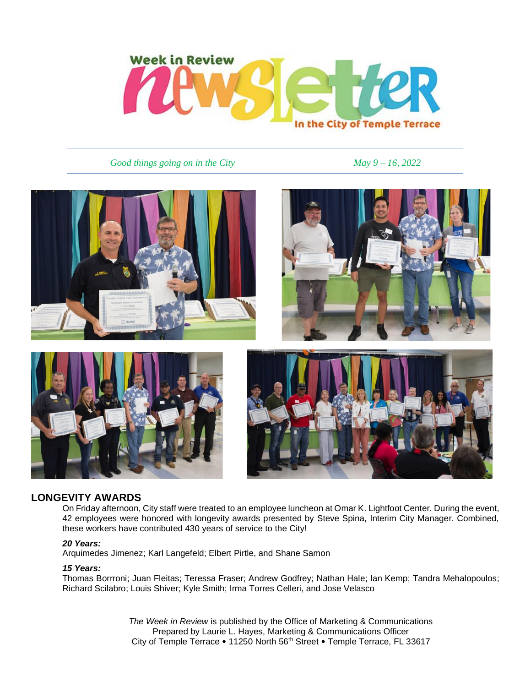

*Good things going on in the City May* 9 – 16, 2022







## **LONGEVITY AWARDS**

On Friday afternoon, City staff were treated to an employee luncheon at Omar K. Lightfoot Center. During the event, 42 employees were honored with longevity awards presented by Steve Spina, Interim City Manager. Combined, these workers have contributed 430 years of service to the City!

#### *20 Years:*

Arquimedes Jimenez; Karl Langefeld; Elbert Pirtle, and Shane Samon

### *15 Years:*

Thomas Borrroni; Juan Fleitas; Teressa Fraser; Andrew Godfrey; Nathan Hale; Ian Kemp; Tandra Mehalopoulos; Richard Scilabro; Louis Shiver; Kyle Smith; Irma Torres Celleri, and Jose Velasco

> *The Week in Review* is published by the Office of Marketing & Communications Prepared by Laurie L. Hayes, Marketing & Communications Officer City of Temple Terrace . 11250 North 56th Street . Temple Terrace, FL 33617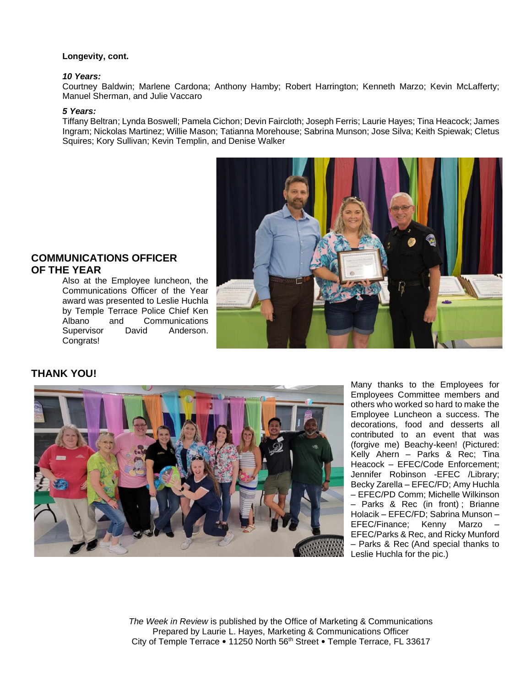#### **Longevity, cont.**

#### *10 Years:*

Courtney Baldwin; Marlene Cardona; Anthony Hamby; Robert Harrington; Kenneth Marzo; Kevin McLafferty; Manuel Sherman, and Julie Vaccaro

#### *5 Years:*

Tiffany Beltran; Lynda Boswell; Pamela Cichon; Devin Faircloth; Joseph Ferris; Laurie Hayes; Tina Heacock; James Ingram; Nickolas Martinez; Willie Mason; Tatianna Morehouse; Sabrina Munson; Jose Silva; Keith Spiewak; Cletus Squires; Kory Sullivan; Kevin Templin, and Denise Walker



## **COMMUNICATIONS OFFICER OF THE YEAR**

Also at the Employee luncheon, the Communications Officer of the Year award was presented to Leslie Huchla by Temple Terrace Police Chief Ken Albano and Communications Supervisor David Anderson. Congrats!

# **THANK YOU!**



Many thanks to the Employees for Employees Committee members and others who worked so hard to make the Employee Luncheon a success. The decorations, food and desserts all contributed to an event that was (forgive me) Beachy-keen! (Pictured: Kelly Ahern – Parks & Rec; Tina Heacock – EFEC/Code Enforcement; Jennifer Robinson -EFEC /Library; Becky Zarella – EFEC/FD; Amy Huchla – EFEC/PD Comm; Michelle Wilkinson – Parks & Rec (in front) ; Brianne Holacik – EFEC/FD; Sabrina Munson – EFEC/Finance; Kenny Marzo – EFEC/Parks & Rec, and Ricky Munford – Parks & Rec (And special thanks to Leslie Huchla for the pic.)

*The Week in Review* is published by the Office of Marketing & Communications Prepared by Laurie L. Hayes, Marketing & Communications Officer City of Temple Terrace . 11250 North 56th Street . Temple Terrace, FL 33617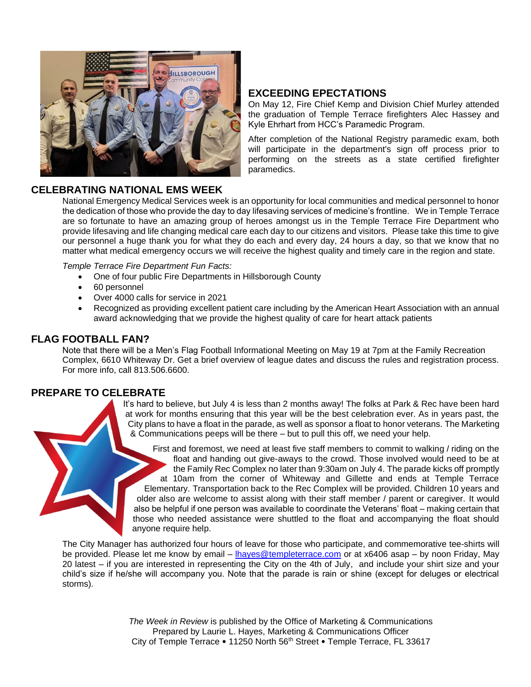

# **EXCEEDING EPECTATIONS**

On May 12, Fire Chief Kemp and Division Chief Murley attended the graduation of Temple Terrace firefighters Alec Hassey and Kyle Ehrhart from HCC's Paramedic Program.

After completion of the National Registry paramedic exam, both will participate in the department's sign off process prior to performing on the streets as a state certified firefighter paramedics.

# **CELEBRATING NATIONAL EMS WEEK**

National Emergency Medical Services week is an opportunity for local communities and medical personnel to honor the dedication of those who provide the day to day lifesaving services of medicine's frontline. We in Temple Terrace are so fortunate to have an amazing group of heroes amongst us in the Temple Terrace Fire Department who provide lifesaving and life changing medical care each day to our citizens and visitors. Please take this time to give our personnel a huge thank you for what they do each and every day, 24 hours a day, so that we know that no matter what medical emergency occurs we will receive the highest quality and timely care in the region and state.

*Temple Terrace Fire Department Fun Facts:*

- One of four public Fire Departments in Hillsborough County
- 60 personnel
- Over 4000 calls for service in 2021
- Recognized as providing excellent patient care including by the American Heart Association with an annual award acknowledging that we provide the highest quality of care for heart attack patients

# **FLAG FOOTBALL FAN?**

Note that there will be a Men's Flag Football Informational Meeting on May 19 at 7pm at the Family Recreation Complex, 6610 Whiteway Dr. Get a brief overview of league dates and discuss the rules and registration process. For more info, call 813.506.6600.

## **PREPARE TO CELEBRATE**

It's hard to believe, but July 4 is less than 2 months away! The folks at Park & Rec have been hard at work for months ensuring that this year will be the best celebration ever. As in years past, the City plans to have a float in the parade, as well as sponsor a float to honor veterans. The Marketing & Communications peeps will be there – but to pull this off, we need your help.

First and foremost, we need at least five staff members to commit to walking / riding on the float and handing out give-aways to the crowd. Those involved would need to be at the Family Rec Complex no later than 9:30am on July 4. The parade kicks off promptly at 10am from the corner of Whiteway and Gillette and ends at Temple Terrace Elementary. Transportation back to the Rec Complex will be provided. Children 10 years and older also are welcome to assist along with their staff member / parent or caregiver. It would also be helpful if one person was available to coordinate the Veterans' float – making certain that those who needed assistance were shuttled to the float and accompanying the float should anyone require help.

The City Manager has authorized four hours of leave for those who participate, and commemorative tee-shirts will be provided. Please let me know by email – [lhayes@templeterrace.com](mailto:lhayes@templeterrace.com) or at x6406 asap – by noon Friday, May 20 latest – if you are interested in representing the City on the 4th of July, and include your shirt size and your child's size if he/she will accompany you. Note that the parade is rain or shine (except for deluges or electrical storms).

> *The Week in Review* is published by the Office of Marketing & Communications Prepared by Laurie L. Hayes, Marketing & Communications Officer City of Temple Terrace • 11250 North 56<sup>th</sup> Street • Temple Terrace, FL 33617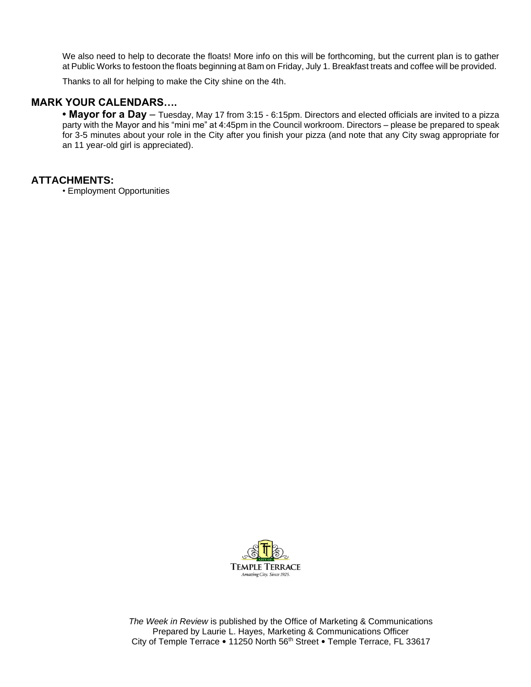We also need to help to decorate the floats! More info on this will be forthcoming, but the current plan is to gather at Public Works to festoon the floats beginning at 8am on Friday, July 1. Breakfast treats and coffee will be provided.

Thanks to all for helping to make the City shine on the 4th.

## **MARK YOUR CALENDARS….**

**• Mayor for a Day** – Tuesday, May 17 from 3:15 - 6:15pm. Directors and elected officials are invited to a pizza party with the Mayor and his "mini me" at 4:45pm in the Council workroom. Directors – please be prepared to speak for 3-5 minutes about your role in the City after you finish your pizza (and note that any City swag appropriate for an 11 year-old girl is appreciated).

### **ATTACHMENTS:**

• Employment Opportunities



*The Week in Review* is published by the Office of Marketing & Communications Prepared by Laurie L. Hayes, Marketing & Communications Officer City of Temple Terrace . 11250 North 56th Street . Temple Terrace, FL 33617